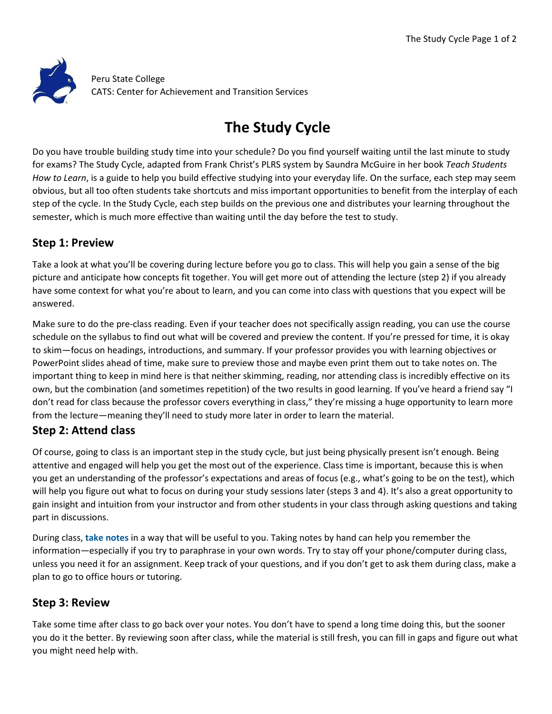

Peru State College CATS: Center for Achievement and Transition Services

# **The Study Cycle**

Do you have trouble building study time into your schedule? Do you find yourself waiting until the last minute to study for exams? The Study Cycle, adapted from Frank Christ's PLRS system by Saundra McGuire in her book *Teach Students How to Learn*, is a guide to help you build effective studying into your everyday life. On the surface, each step may seem obvious, but all too often students take shortcuts and miss important opportunities to benefit from the interplay of each step of the cycle. In the Study Cycle, each step builds on the previous one and distributes your learning throughout the semester, which is much more effective than waiting until the day before the test to study.

## **Step 1: Preview**

Take a look at what you'll be covering during lecture before you go to class. This will help you gain a sense of the big picture and anticipate how concepts fit together. You will get more out of attending the lecture (step 2) if you already have some context for what you're about to learn, and you can come into class with questions that you expect will be answered.

Make sure to do the pre-class reading. Even if your teacher does not specifically assign reading, you can use the course schedule on the syllabus to find out what will be covered and preview the content. If you're pressed for time, it is okay to skim—focus on headings, introductions, and summary. If your professor provides you with learning objectives or PowerPoint slides ahead of time, make sure to preview those and maybe even print them out to take notes on. The important thing to keep in mind here is that neither skimming, reading, nor attending class is incredibly effective on its own, but the combination (and sometimes repetition) of the two results in good learning. If you've heard a friend say "I don't read for class because the professor covers everything in class," they're missing a huge opportunity to learn more from the lecture—meaning they'll need to study more later in order to learn the material.

## **Step 2: Attend class**

Of course, going to class is an important step in the study cycle, but just being physically present isn't enough. Being attentive and engaged will help you get the most out of the experience. Class time is important, because this is when you get an understanding of the professor's expectations and areas of focus (e.g., what's going to be on the test), which will help you figure out what to focus on during your study sessions later (steps 3 and 4). It's also a great opportunity to gain insight and intuition from your instructor and from other students in your class through asking questions and taking part in discussions.

During class, **[take notes](https://learningcenter.unc.edu/tips-and-tools/effective-note-taking-in-class/)** in a way that will be useful to you. Taking notes by hand can help you remember the information—especially if you try to paraphrase in your own words. Try to stay off your phone/computer during class, unless you need it for an assignment. Keep track of your questions, and if you don't get to ask them during class, make a plan to go to office hours or tutoring.

## **Step 3: Review**

Take some time after class to go back over your notes. You don't have to spend a long time doing this, but the sooner you do it the better. By reviewing soon after class, while the material is still fresh, you can fill in gaps and figure out what you might need help with.